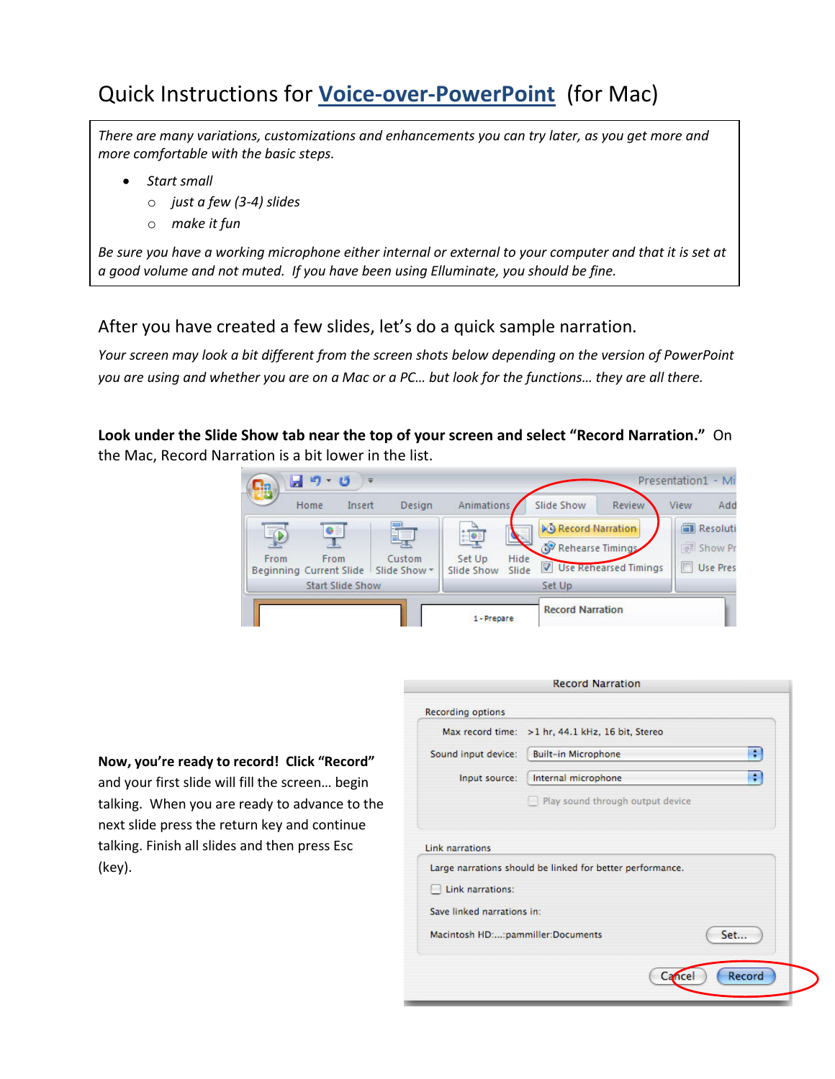# Quick Instructions for Voice-over-PowerPoint (for Mac)

There are many variations, customizations and enhancements you can try later, as you get more and more comfortable with the basic steps.

- Start small
	- o just a few (3-4) slides
	- o make it fun

Be sure you have a working microphone either internal or external to your computer and that it is set at a good volume and not muted. If you have been using Elluminate, you should be fine.

## After you have created a few slides, let's do a quick sample narration.

Your screen may look a bit different from the screen shots below depending on the version of PowerPoint you are using and w*h*ether you are on a Mac or a PC… but look for the functions… they are all there.

Look under the Slide Show tab near the top of your screen and select "Record Narration." On the Mac, Record Narration is a bit lower in the list.

 $\overline{a}$ 



Now, you're ready to record! Click "Record" and your first slide will fill the screen… begin talking. When you are ready to advance to the next slide press the return key and continue talking. Finish all slides and then press Esc (key).

|                                            | Max record time: > 1 hr, 44.1 kHz, 16 bit, Stereo         |
|--------------------------------------------|-----------------------------------------------------------|
| Sound input device:                        | ÷<br><b>Built-in Microphone</b>                           |
| Input source:                              | ÷<br>Internal microphone                                  |
|                                            |                                                           |
|                                            | Play sound through output device.                         |
| <b>Link narrations</b><br>Link narrations: | Large narrations should be linked for better performance. |
| Save linked narrations in:                 |                                                           |